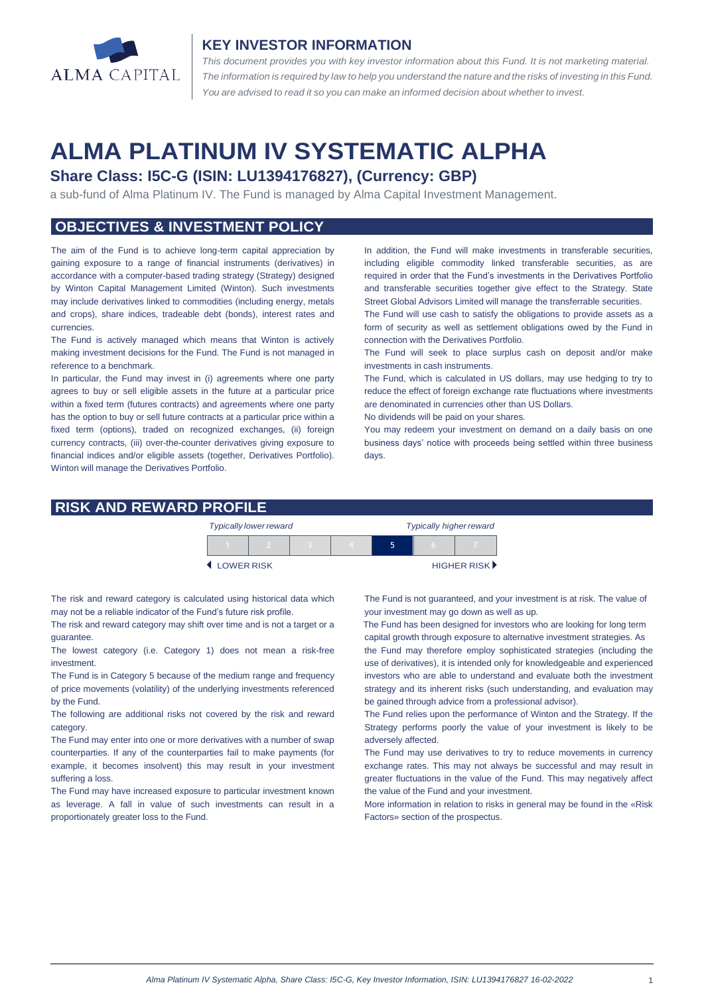

#### **KEY INVESTOR INFORMATION**

*This document provides you with key investor information about this Fund. It is not marketing material.*  The information is required by law to help you understand the nature and the risks of investing in this Fund. *You are advised to read it so you can make an informed decision about whether to invest.*

# **ALMA PLATINUM IV SYSTEMATIC ALPHA**

## **Share Class: I5C-G (ISIN: LU1394176827), (Currency: GBP)**

a sub-fund of Alma Platinum IV. The Fund is managed by Alma Capital Investment Management.

## **OBJECTIVES & INVESTMENT POLICY**

The aim of the Fund is to achieve long-term capital appreciation by gaining exposure to a range of financial instruments (derivatives) in accordance with a computer-based trading strategy (Strategy) designed by Winton Capital Management Limited (Winton). Such investments may include derivatives linked to commodities (including energy, metals and crops), share indices, tradeable debt (bonds), interest rates and currencies.

The Fund is actively managed which means that Winton is actively making investment decisions for the Fund. The Fund is not managed in reference to a benchmark.

In particular, the Fund may invest in (i) agreements where one party agrees to buy or sell eligible assets in the future at a particular price within a fixed term (futures contracts) and agreements where one party has the option to buy or sell future contracts at a particular price within a fixed term (options), traded on recognized exchanges, (ii) foreign currency contracts, (iii) over-the-counter derivatives giving exposure to financial indices and/or eligible assets (together, Derivatives Portfolio). Winton will manage the Derivatives Portfolio.

In addition, the Fund will make investments in transferable securities, including eligible commodity linked transferable securities, as are required in order that the Fund's investments in the Derivatives Portfolio and transferable securities together give effect to the Strategy. State Street Global Advisors Limited will manage the transferrable securities.

The Fund will use cash to satisfy the obligations to provide assets as a form of security as well as settlement obligations owed by the Fund in connection with the Derivatives Portfolio.

The Fund will seek to place surplus cash on deposit and/or make investments in cash instruments.

The Fund, which is calculated in US dollars, may use hedging to try to reduce the effect of foreign exchange rate fluctuations where investments are denominated in currencies other than US Dollars.

No dividends will be paid on your shares.

You may redeem your investment on demand on a daily basis on one business days' notice with proceeds being settled within three business days

### **RISK AND REWARD PROFILE**

|            | <b>Typically lower reward</b> |  | <b>Typically higher reward</b> |  |  |                             |
|------------|-------------------------------|--|--------------------------------|--|--|-----------------------------|
|            |                               |  |                                |  |  |                             |
| LOWER RISK |                               |  |                                |  |  | HIGHER RISK <sup>&gt;</sup> |

The risk and reward category is calculated using historical data which may not be a reliable indicator of the Fund's future risk profile.

The risk and reward category may shift over time and is not a target or a guarantee.

The lowest category (i.e. Category 1) does not mean a risk-free investment.

The Fund is in Category 5 because of the medium range and frequency of price movements (volatility) of the underlying investments referenced by the Fund.

The following are additional risks not covered by the risk and reward category.

The Fund may enter into one or more derivatives with a number of swap counterparties. If any of the counterparties fail to make payments (for example, it becomes insolvent) this may result in your investment suffering a loss.

The Fund may have increased exposure to particular investment known as leverage. A fall in value of such investments can result in a proportionately greater loss to the Fund.

The Fund is not guaranteed, and your investment is at risk. The value of your investment may go down as well as up.

 The Fund has been designed for investors who are looking for long term capital growth through exposure to alternative investment strategies. As

the Fund may therefore employ sophisticated strategies (including the use of derivatives), it is intended only for knowledgeable and experienced investors who are able to understand and evaluate both the investment strategy and its inherent risks (such understanding, and evaluation may be gained through advice from a professional advisor).

The Fund relies upon the performance of Winton and the Strategy. If the Strategy performs poorly the value of your investment is likely to be adversely affected.

The Fund may use derivatives to try to reduce movements in currency exchange rates. This may not always be successful and may result in greater fluctuations in the value of the Fund. This may negatively affect the value of the Fund and your investment.

More information in relation to risks in general may be found in the «Risk Factors» section of the prospectus.